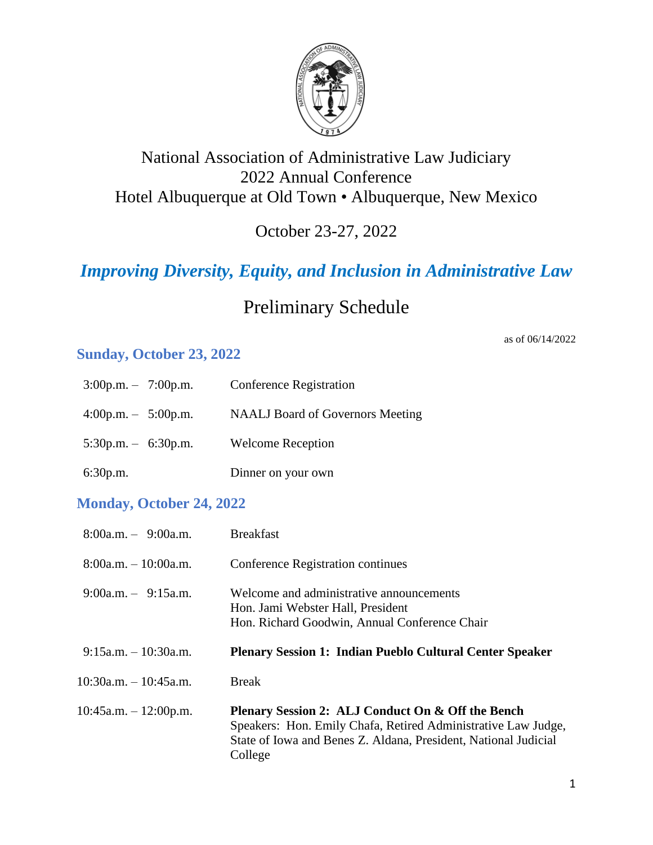

### National Association of Administrative Law Judiciary 2022 Annual Conference Hotel Albuquerque at Old Town • Albuquerque, New Mexico

October 23-27, 2022

# *Improving Diversity, Equity, and Inclusion in Administrative Law*

## Preliminary Schedule

### **Sunday, October 23, 2022**

| $3:00p.m. - 7:00p.m.$ | <b>Conference Registration</b>          |
|-----------------------|-----------------------------------------|
| $4:00p.m. - 5:00p.m.$ | <b>NAALJ</b> Board of Governors Meeting |
| $5:30p.m. - 6:30p.m.$ | <b>Welcome Reception</b>                |
| 6:30p.m.              | Dinner on your own                      |

#### **Monday, October 24, 2022**

| $8:00a.m. - 9:00a.m.$      | <b>Breakfast</b>                                                                                                               |
|----------------------------|--------------------------------------------------------------------------------------------------------------------------------|
| $8:00a.m. - 10:00a.m.$     | Conference Registration continues                                                                                              |
| $9:00a.m. - 9:15a.m.$      | Welcome and administrative announcements<br>Hon. Jami Webster Hall, President<br>Hon. Richard Goodwin, Annual Conference Chair |
| $9:15$ a.m. $-10:30$ a.m.  | <b>Plenary Session 1: Indian Pueblo Cultural Center Speaker</b>                                                                |
| $10:30$ a.m. $-10:45$ a.m. | <b>Break</b>                                                                                                                   |
| $10:45a.m. - 12:00p.m.$    | Plenary Session 2: ALJ Conduct On & Off the Bench                                                                              |

as of 06/14/2022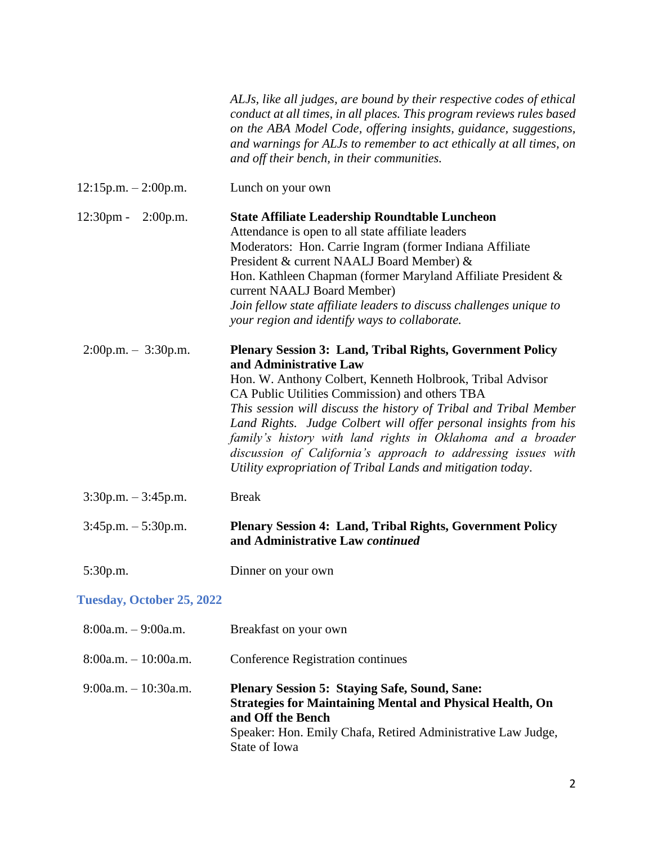|                               | ALJs, like all judges, are bound by their respective codes of ethical<br>conduct at all times, in all places. This program reviews rules based<br>on the ABA Model Code, offering insights, guidance, suggestions,<br>and warnings for ALJs to remember to act ethically at all times, on<br>and off their bench, in their communities.                                                                                                                                                                                                           |
|-------------------------------|---------------------------------------------------------------------------------------------------------------------------------------------------------------------------------------------------------------------------------------------------------------------------------------------------------------------------------------------------------------------------------------------------------------------------------------------------------------------------------------------------------------------------------------------------|
| $12:15p.m. - 2:00p.m.$        | Lunch on your own                                                                                                                                                                                                                                                                                                                                                                                                                                                                                                                                 |
| $12:30 \text{pm}$<br>2:00p.m. | <b>State Affiliate Leadership Roundtable Luncheon</b><br>Attendance is open to all state affiliate leaders<br>Moderators: Hon. Carrie Ingram (former Indiana Affiliate<br>President & current NAALJ Board Member) &<br>Hon. Kathleen Chapman (former Maryland Affiliate President &<br>current NAALJ Board Member)<br>Join fellow state affiliate leaders to discuss challenges unique to<br>your region and identify ways to collaborate.                                                                                                        |
| $2:00p.m. - 3:30p.m.$         | <b>Plenary Session 3: Land, Tribal Rights, Government Policy</b><br>and Administrative Law<br>Hon. W. Anthony Colbert, Kenneth Holbrook, Tribal Advisor<br>CA Public Utilities Commission) and others TBA<br>This session will discuss the history of Tribal and Tribal Member<br>Land Rights. Judge Colbert will offer personal insights from his<br>family's history with land rights in Oklahoma and a broader<br>discussion of California's approach to addressing issues with<br>Utility expropriation of Tribal Lands and mitigation today. |
| $3:30p.m. - 3:45p.m.$         | <b>Break</b>                                                                                                                                                                                                                                                                                                                                                                                                                                                                                                                                      |
| $3:45p.m. - 5:30p.m.$         | <b>Plenary Session 4: Land, Tribal Rights, Government Policy</b><br>and Administrative Law continued                                                                                                                                                                                                                                                                                                                                                                                                                                              |
| 5:30p.m.                      | Dinner on your own                                                                                                                                                                                                                                                                                                                                                                                                                                                                                                                                |
| Tuesday, October 25, 2022     |                                                                                                                                                                                                                                                                                                                                                                                                                                                                                                                                                   |
| $8:00a.m. - 9:00a.m.$         | Breakfast on your own                                                                                                                                                                                                                                                                                                                                                                                                                                                                                                                             |
| $8:00a.m. - 10:00a.m.$        | Conference Registration continues                                                                                                                                                                                                                                                                                                                                                                                                                                                                                                                 |
| $9:00a.m. - 10:30a.m.$        | <b>Plenary Session 5: Staying Safe, Sound, Sane:</b><br><b>Strategies for Maintaining Mental and Physical Health, On</b><br>and Off the Bench<br>Speaker: Hon. Emily Chafa, Retired Administrative Law Judge,<br>State of Iowa                                                                                                                                                                                                                                                                                                                    |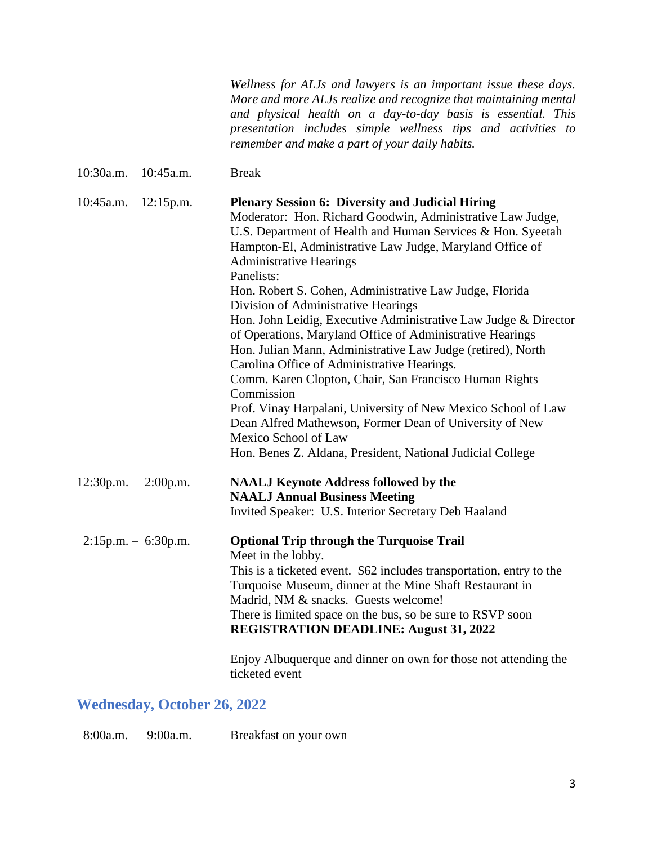*Wellness for ALJs and lawyers is an important issue these days. More and more ALJs realize and recognize that maintaining mental and physical health on a day-to-day basis is essential. This presentation includes simple wellness tips and activities to remember and make a part of your daily habits.*

10:30a.m. – 10:45a.m. Break

| $10:45a.m. - 12:15p.m.$ | <b>Plenary Session 6: Diversity and Judicial Hiring</b><br>Moderator: Hon. Richard Goodwin, Administrative Law Judge,<br>U.S. Department of Health and Human Services & Hon. Syeetah<br>Hampton-El, Administrative Law Judge, Maryland Office of<br><b>Administrative Hearings</b><br>Panelists: |
|-------------------------|--------------------------------------------------------------------------------------------------------------------------------------------------------------------------------------------------------------------------------------------------------------------------------------------------|
|                         | Hon. Robert S. Cohen, Administrative Law Judge, Florida<br>Division of Administrative Hearings                                                                                                                                                                                                   |
|                         | Hon. John Leidig, Executive Administrative Law Judge & Director<br>of Operations, Maryland Office of Administrative Hearings<br>Hon. Julian Mann, Administrative Law Judge (retired), North<br>Carolina Office of Administrative Hearings.                                                       |
|                         | Comm. Karen Clopton, Chair, San Francisco Human Rights<br>Commission                                                                                                                                                                                                                             |
|                         | Prof. Vinay Harpalani, University of New Mexico School of Law<br>Dean Alfred Mathewson, Former Dean of University of New<br>Mexico School of Law<br>Hon. Benes Z. Aldana, President, National Judicial College                                                                                   |
| $12:30p.m. - 2:00p.m.$  | <b>NAALJ Keynote Address followed by the</b><br><b>NAALJ Annual Business Meeting</b>                                                                                                                                                                                                             |
|                         | Invited Speaker: U.S. Interior Secretary Deb Haaland                                                                                                                                                                                                                                             |
| $2:15p.m. - 6:30p.m.$   | <b>Optional Trip through the Turquoise Trail</b><br>Meet in the lobby.                                                                                                                                                                                                                           |
|                         | This is a ticketed event. \$62 includes transportation, entry to the<br>Turquoise Museum, dinner at the Mine Shaft Restaurant in<br>Madrid, NM & snacks. Guests welcome!                                                                                                                         |
|                         | There is limited space on the bus, so be sure to RSVP soon<br><b>REGISTRATION DEADLINE: August 31, 2022</b>                                                                                                                                                                                      |
|                         | Enjoy Albuquerque and dinner on own for those not attending the                                                                                                                                                                                                                                  |

#### **Wednesday, October 26, 2022**

8:00a.m. – 9:00a.m. Breakfast on your own

ticketed event